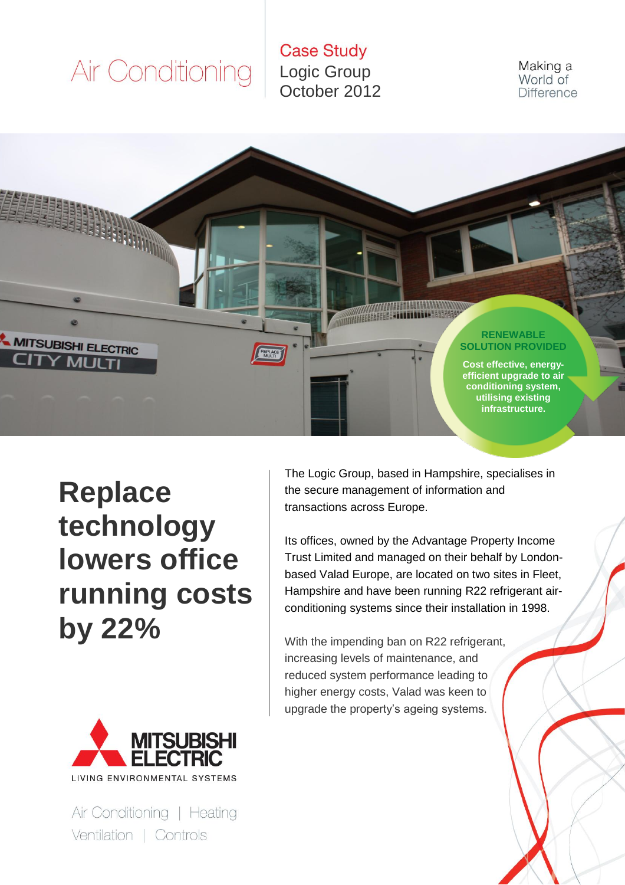**Case Study** Logic Group October 2012

Making a World of **Difference** 



**Replace technology lowers office running costs by 22%**



Air Conditioning | Heating Ventilation | Controls

The Logic Group, based in Hampshire, specialises in the secure management of information and transactions across Europe.

Its offices, owned by the Advantage Property Income Trust Limited and managed on their behalf by Londonbased Valad Europe, are located on two sites in Fleet, Hampshire and have been running R22 refrigerant airconditioning systems since their installation in 1998.

With the impending ban on R22 refrigerant, increasing levels of maintenance, and reduced system performance leading to higher energy costs, Valad was keen to upgrade the property's ageing systems.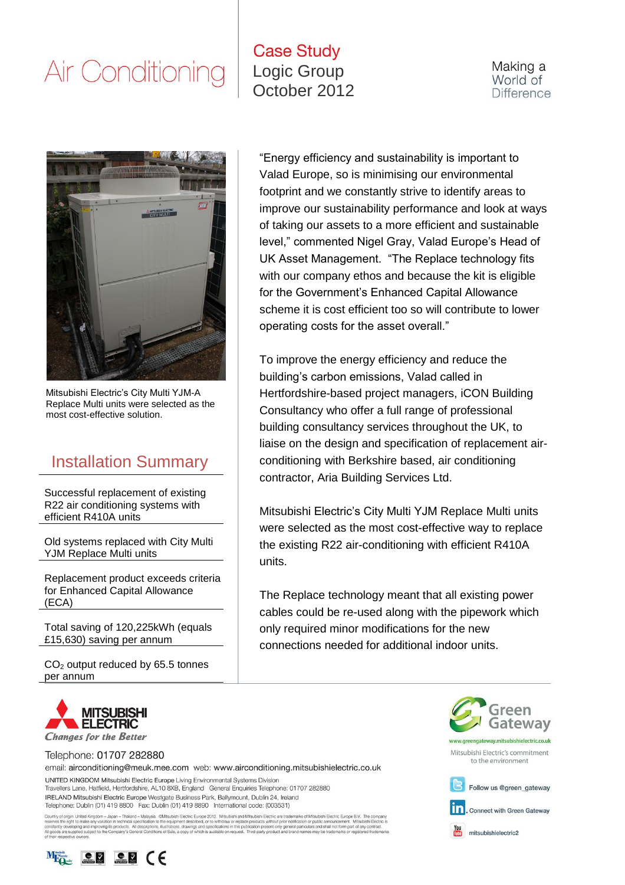#### **Case Study** Logic Group October 2012

Making a World of **Difference** 



Mitsubishi Electric's City Multi YJM-A Replace Multi units were selected as the most cost-effective solution.

#### Installation Summary

Successful replacement of existing R22 air conditioning systems with efficient R410A units

Old systems replaced with City Multi YJM Replace Multi units

Replacement product exceeds criteria for Enhanced Capital Allowance (ECA)

Total saving of 120,225kWh (equals £15,630) saving per annum

CO<sup>2</sup> output reduced by 65.5 tonnes per annum

"Energy efficiency and sustainability is important to Valad Europe, so is minimising our environmental footprint and we constantly strive to identify areas to improve our sustainability performance and look at ways of taking our assets to a more efficient and sustainable level," commented Nigel Gray, Valad Europe's Head of UK Asset Management. "The Replace technology fits with our company ethos and because the kit is eligible for the Government's Enhanced Capital Allowance scheme it is cost efficient too so will contribute to lower operating costs for the asset overall."

To improve the energy efficiency and reduce the building's carbon emissions, Valad called in Hertfordshire-based project managers, iCON Building Consultancy who offer a full range of professional building consultancy services throughout the UK, to liaise on the design and specification of replacement airconditioning with Berkshire based, air conditioning contractor, Aria Building Services Ltd.

Mitsubishi Electric's City Multi YJM Replace Multi units were selected as the most cost-effective way to replace the existing R22 air-conditioning with efficient R410A units.

The Replace technology meant that all existing power cables could be re-used along with the pipework which only required minor modifications for the new connections needed for additional indoor units.



Telephone: 01707 282880

email: airconditioning@meuk.mee.com web: www.airconditioning.mitsubishielectric.co.uk UNITED KINGDOM Mitsubishi Electric Europe Living Environmental Systems Division

Travellers Lane, Hatfield, Hertfordshire, AL10 8XB, England General Enquiries Telephone: 01707 282880 IRELAND Mitsubishi Electric Europe Westgate Business Park, Ballymount, Dublin 24, Ireland Telephone: Dublin (01) 419 8800 Fax: Dublin (01) 419 8890 International code: (003531)

Country of origin: United Kingdom – Japan – Thaland – Malaysia. ©Misubishi Electric Europe 2012. Misubishi and Misubishi Electric are trademarks of Misubishi Electric Europe B.V. The com<br>reserves the right to make any vari





Mitsubishi Electric's commitment to the environment



**Tn**, Connect with Green Gateway

mitsubishielectric2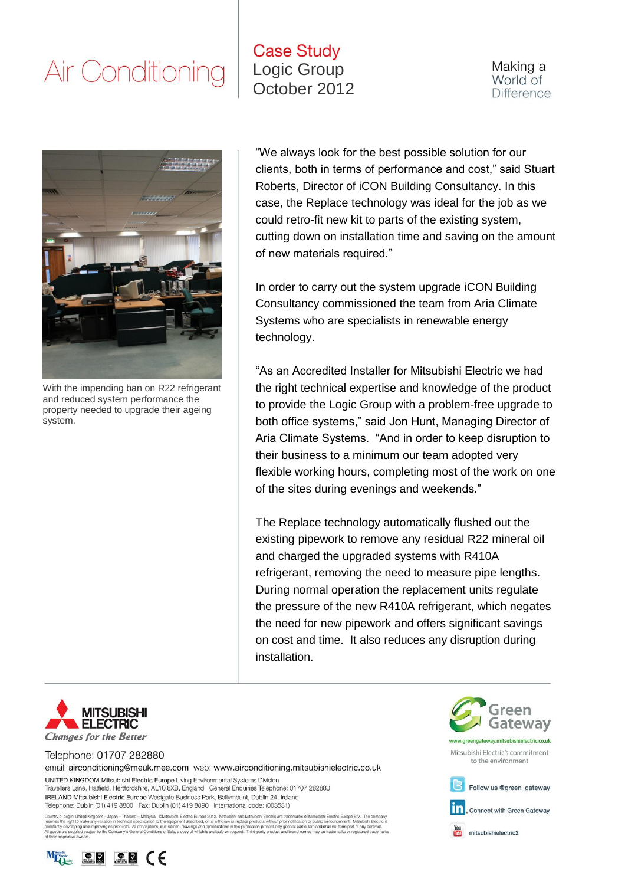#### **Case Study** Logic Group October 2012

Making a World of **Difference** 



With the impending ban on R22 refrigerant and reduced system performance the property needed to upgrade their ageing system.

"We always look for the best possible solution for our clients, both in terms of performance and cost," said Stuart Roberts, Director of iCON Building Consultancy. In this case, the Replace technology was ideal for the job as we could retro-fit new kit to parts of the existing system, cutting down on installation time and saving on the amount of new materials required."

In order to carry out the system upgrade iCON Building Consultancy commissioned the team from Aria Climate Systems who are specialists in renewable energy technology.

"As an Accredited Installer for Mitsubishi Electric we had the right technical expertise and knowledge of the product to provide the Logic Group with a problem-free upgrade to both office systems," said Jon Hunt, Managing Director of Aria Climate Systems. "And in order to keep disruption to their business to a minimum our team adopted very flexible working hours, completing most of the work on one of the sites during evenings and weekends."

The Replace technology automatically flushed out the existing pipework to remove any residual R22 mineral oil and charged the upgraded systems with R410A refrigerant, removing the need to measure pipe lengths. During normal operation the replacement units regulate the pressure of the new R410A refrigerant, which negates the need for new pipework and offers significant savings on cost and time. It also reduces any disruption during installation.



Telephone: 01707 282880

email: airconditioning@meuk.mee.com web: www.airconditioning.mitsubishielectric.co.uk UNITED KINGDOM Mitsubishi Electric Europe Living Environmental Systems Division

Travellers Lane, Hatfield, Hertfordshire, AL10 8XB, England General Enquiries Telephone: 01707 282880 IRELAND Mitsubishi Electric Europe Westgate Business Park, Ballymount, Dublin 24, Ireland Telephone: Dublin (01) 419 8800 Fax: Dublin (01) 419 8890 International code: (003531)

Country of origin: United Kingdom – Japan – Thaland – Malaysia. @Misubishi Electric Europe 2012. Misubishi and Misubishi Electric are trademarks of Misubishi Bectric Europe B.V. The compares the right to make any valiable





Mitsubishi Electric's commitment to the environment